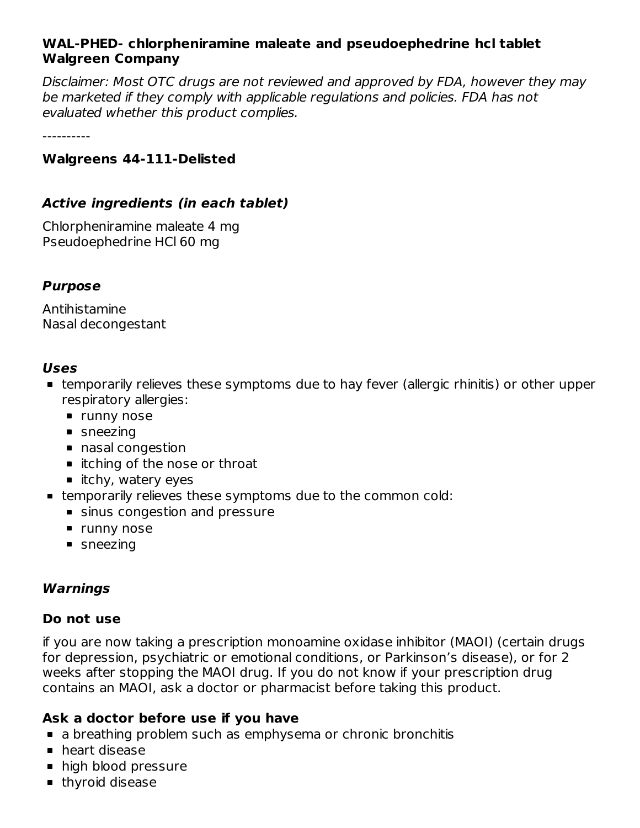### **WAL-PHED- chlorpheniramine maleate and pseudoephedrine hcl tablet Walgreen Company**

Disclaimer: Most OTC drugs are not reviewed and approved by FDA, however they may be marketed if they comply with applicable regulations and policies. FDA has not evaluated whether this product complies.

----------

#### **Walgreens 44-111-Delisted**

### **Active ingredients (in each tablet)**

Chlorpheniramine maleate 4 mg Pseudoephedrine HCl 60 mg

#### **Purpose**

Antihistamine Nasal decongestant

#### **Uses**

- temporarily relieves these symptoms due to hay fever (allergic rhinitis) or other upper respiratory allergies:
	- **runny nose**
	- sneezing
	- nasal congestion
	- itching of the nose or throat
	- $\blacksquare$  itchy, watery eyes
- temporarily relieves these symptoms due to the common cold:
	- sinus congestion and pressure
	- **runny nose**
	- sneezing

### **Warnings**

#### **Do not use**

if you are now taking a prescription monoamine oxidase inhibitor (MAOI) (certain drugs for depression, psychiatric or emotional conditions, or Parkinson's disease), or for 2 weeks after stopping the MAOI drug. If you do not know if your prescription drug contains an MAOI, ask a doctor or pharmacist before taking this product.

### **Ask a doctor before use if you have**

- a breathing problem such as emphysema or chronic bronchitis
- **heart disease**
- **high blood pressure**
- **thyroid disease**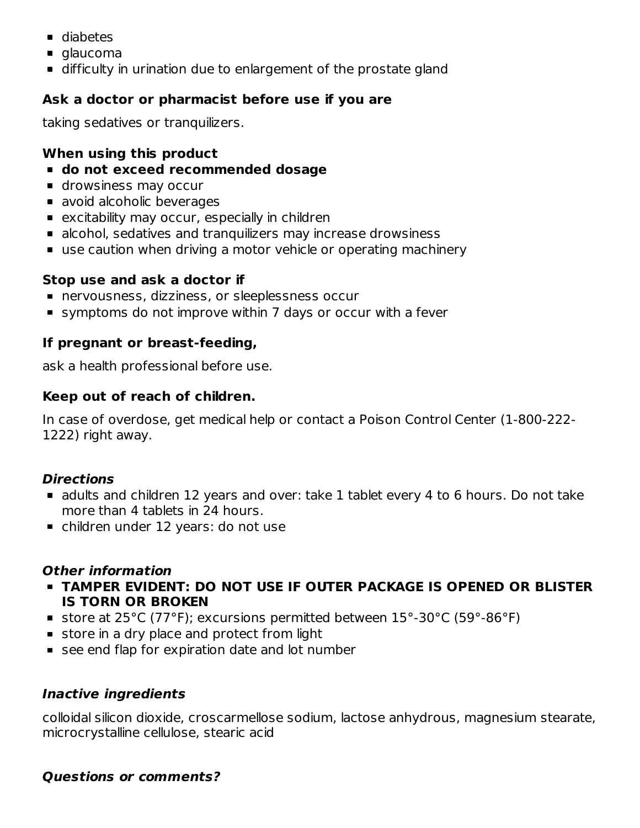- diabetes
- glaucoma
- difficulty in urination due to enlargement of the prostate gland

# **Ask a doctor or pharmacist before use if you are**

taking sedatives or tranquilizers.

## **When using this product**

- **do not exceed recommended dosage**
- **drowsiness may occur**
- **a** avoid alcoholic beverages
- **EXCITED EXAGGENT MAGGILE IN A** excitability may occur, especially in children
- alcohol, sedatives and tranquilizers may increase drowsiness
- use caution when driving a motor vehicle or operating machinery

### **Stop use and ask a doctor if**

- nervousness, dizziness, or sleeplessness occur
- symptoms do not improve within 7 days or occur with a fever

### **If pregnant or breast-feeding,**

ask a health professional before use.

### **Keep out of reach of children.**

In case of overdose, get medical help or contact a Poison Control Center (1-800-222- 1222) right away.

## **Directions**

- adults and children 12 years and over: take 1 tablet every 4 to 6 hours. Do not take more than 4 tablets in 24 hours.
- children under 12 years: do not use

### **Other information**

- **TAMPER EVIDENT: DO NOT USE IF OUTER PACKAGE IS OPENED OR BLISTER IS TORN OR BROKEN**
- store at 25°C (77°F); excursions permitted between 15°-30°C (59°-86°F)
- store in a dry place and protect from light
- see end flap for expiration date and lot number

## **Inactive ingredients**

colloidal silicon dioxide, croscarmellose sodium, lactose anhydrous, magnesium stearate, microcrystalline cellulose, stearic acid

### **Questions or comments?**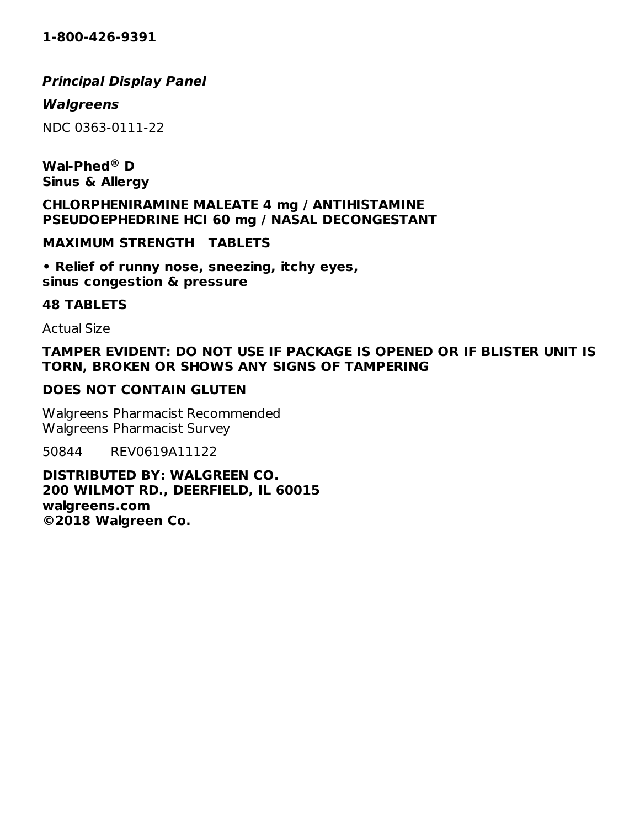# **Principal Display Panel**

### **Walgreens**

NDC 0363-0111-22

**Wal-Phed D ®Sinus & Allergy**

**CHLORPHENIRAMINE MALEATE 4 mg / ANTIHISTAMINE PSEUDOEPHEDRINE HCI 60 mg / NASAL DECONGESTANT**

**MAXIMUM STRENGTH TABLETS**

**• Relief of runny nose, sneezing, itchy eyes, sinus congestion & pressure**

#### **48 TABLETS**

Actual Size

### **TAMPER EVIDENT: DO NOT USE IF PACKAGE IS OPENED OR IF BLISTER UNIT IS TORN, BROKEN OR SHOWS ANY SIGNS OF TAMPERING**

### **DOES NOT CONTAIN GLUTEN**

Walgreens Pharmacist Recommended Walgreens Pharmacist Survey

50844 REV0619A11122

**DISTRIBUTED BY: WALGREEN CO. 200 WILMOT RD., DEERFIELD, IL 60015 walgreens.com ©2018 Walgreen Co.**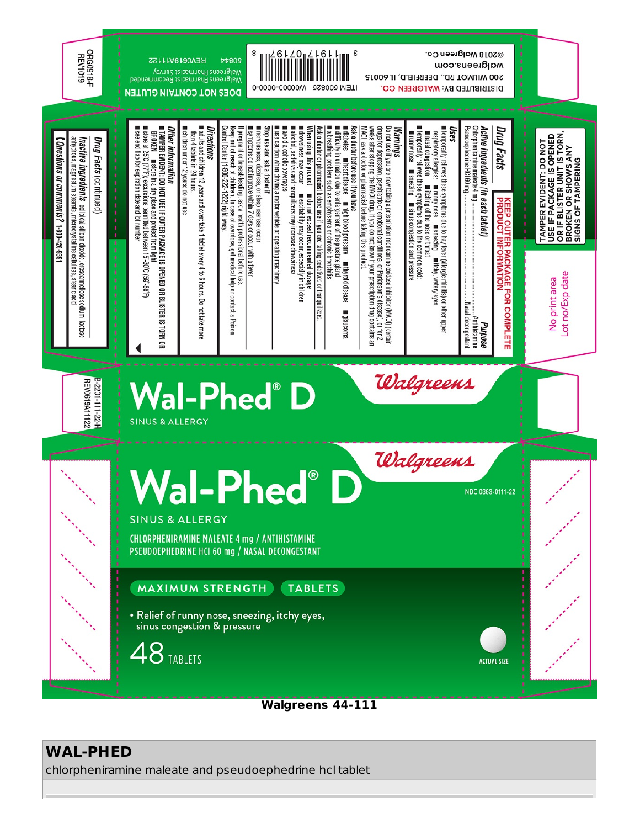

**Walgreens 44-111**

# **WAL-PHED**

chlorpheniramine maleate and pseudoephedrine hcl tablet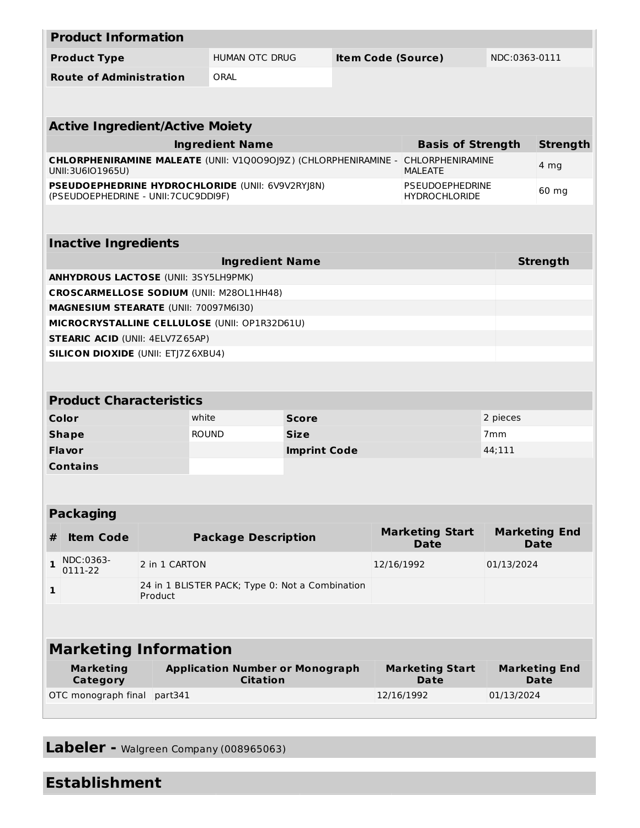| <b>Product Information</b>                                                               |                                                            |               |                                                                 |                     |                                       |                                                |                              |                 |  |  |  |
|------------------------------------------------------------------------------------------|------------------------------------------------------------|---------------|-----------------------------------------------------------------|---------------------|---------------------------------------|------------------------------------------------|------------------------------|-----------------|--|--|--|
| <b>Product Type</b>                                                                      |                                                            |               | HUMAN OTC DRUG<br><b>Item Code (Source)</b>                     |                     |                                       | NDC:0363-0111                                  |                              |                 |  |  |  |
| <b>Route of Administration</b>                                                           |                                                            |               | ORAL                                                            |                     |                                       |                                                |                              |                 |  |  |  |
|                                                                                          |                                                            |               |                                                                 |                     |                                       |                                                |                              |                 |  |  |  |
|                                                                                          |                                                            |               |                                                                 |                     |                                       |                                                |                              |                 |  |  |  |
| <b>Active Ingredient/Active Moiety</b>                                                   |                                                            |               |                                                                 |                     |                                       |                                                |                              |                 |  |  |  |
|                                                                                          |                                                            |               | <b>Ingredient Name</b>                                          |                     |                                       | <b>Basis of Strength</b>                       |                              | <b>Strength</b> |  |  |  |
| UNII:3U6IO1965U)                                                                         |                                                            |               | CHLORPHENIRAMINE MALEATE (UNII: V1Q0090J9Z) (CHLORPHENIRAMINE - |                     |                                       | <b>CHLORPHENIRAMINE</b><br><b>MALEATE</b>      |                              | 4 mg            |  |  |  |
| PSEUDOEPHEDRINE HYDROCHLORIDE (UNII: 6V9V2RYJ8N)<br>(PSEUDOEPHEDRINE - UNII: 7CUC9DDI9F) |                                                            |               |                                                                 |                     |                                       | <b>PSEUDOEPHEDRINE</b><br><b>HYDROCHLORIDE</b> |                              | 60 mg           |  |  |  |
|                                                                                          |                                                            |               |                                                                 |                     |                                       |                                                |                              |                 |  |  |  |
| <b>Inactive Ingredients</b>                                                              |                                                            |               |                                                                 |                     |                                       |                                                |                              |                 |  |  |  |
| <b>Ingredient Name</b>                                                                   |                                                            |               |                                                                 |                     |                                       |                                                |                              | <b>Strength</b> |  |  |  |
| <b>ANHYDROUS LACTOSE (UNII: 3SY5LH9PMK)</b>                                              |                                                            |               |                                                                 |                     |                                       |                                                |                              |                 |  |  |  |
| <b>CROSCARMELLOSE SODIUM (UNII: M280L1HH48)</b>                                          |                                                            |               |                                                                 |                     |                                       |                                                |                              |                 |  |  |  |
| <b>MAGNESIUM STEARATE (UNII: 70097M6I30)</b>                                             |                                                            |               |                                                                 |                     |                                       |                                                |                              |                 |  |  |  |
| MICROCRYSTALLINE CELLULOSE (UNII: OP1R32D61U)                                            |                                                            |               |                                                                 |                     |                                       |                                                |                              |                 |  |  |  |
| <b>STEARIC ACID (UNII: 4ELV7Z65AP)</b>                                                   |                                                            |               |                                                                 |                     |                                       |                                                |                              |                 |  |  |  |
| <b>SILICON DIOXIDE (UNII: ETJ7Z6XBU4)</b>                                                |                                                            |               |                                                                 |                     |                                       |                                                |                              |                 |  |  |  |
|                                                                                          |                                                            |               |                                                                 |                     |                                       |                                                |                              |                 |  |  |  |
| <b>Product Characteristics</b>                                                           |                                                            |               |                                                                 |                     |                                       |                                                |                              |                 |  |  |  |
| Color                                                                                    |                                                            |               | white                                                           | <b>Score</b>        |                                       |                                                | 2 pieces                     |                 |  |  |  |
| <b>Shape</b>                                                                             |                                                            |               | <b>ROUND</b>                                                    | <b>Size</b>         |                                       |                                                | 7 <sub>mm</sub>              |                 |  |  |  |
| Flavor                                                                                   |                                                            |               |                                                                 | <b>Imprint Code</b> |                                       |                                                | 44;111                       |                 |  |  |  |
| <b>Contains</b>                                                                          |                                                            |               |                                                                 |                     |                                       |                                                |                              |                 |  |  |  |
|                                                                                          |                                                            |               |                                                                 |                     |                                       |                                                |                              |                 |  |  |  |
| <b>Packaging</b>                                                                         |                                                            |               |                                                                 |                     |                                       |                                                |                              |                 |  |  |  |
|                                                                                          |                                                            |               |                                                                 |                     |                                       | <b>Marketing Start</b><br><b>Marketing End</b> |                              |                 |  |  |  |
| #                                                                                        | <b>Item Code</b>                                           |               | <b>Package Description</b>                                      |                     |                                       | <b>Date</b>                                    |                              | <b>Date</b>     |  |  |  |
| 1                                                                                        | NDC:0363-<br>0111-22                                       | 2 in 1 CARTON |                                                                 |                     |                                       | 12/16/1992                                     | 01/13/2024                   |                 |  |  |  |
| 1                                                                                        | 24 in 1 BLISTER PACK; Type 0: Not a Combination<br>Product |               |                                                                 |                     |                                       |                                                |                              |                 |  |  |  |
|                                                                                          |                                                            |               |                                                                 |                     |                                       |                                                |                              |                 |  |  |  |
| <b>Marketing Information</b>                                                             |                                                            |               |                                                                 |                     |                                       |                                                |                              |                 |  |  |  |
| <b>Marketing</b><br><b>Category</b>                                                      |                                                            |               | <b>Application Number or Monograph</b><br><b>Citation</b>       |                     | <b>Marketing Start</b><br><b>Date</b> |                                                | <b>Marketing End</b><br>Date |                 |  |  |  |
| OTC monograph final                                                                      |                                                            | part341       |                                                                 |                     |                                       | 12/16/1992<br>01/13/2024                       |                              |                 |  |  |  |
|                                                                                          |                                                            |               |                                                                 |                     |                                       |                                                |                              |                 |  |  |  |

**Labeler -** Walgreen Company (008965063)

# **Establishment**